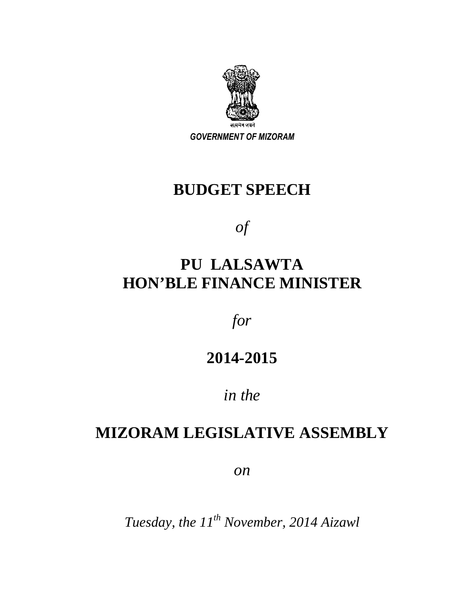

*GOVERNMENT OF MIZORAM* 

# **BUDGET SPEECH**

*of* 

# **PU LALSAWTA HON'BLE FINANCE MINISTER**

*for* 

# **2014-2015**

# *in the*

# **MIZORAM LEGISLATIVE ASSEMBLY**

*on* 

*Tuesday, the 11th November, 2014 Aizawl*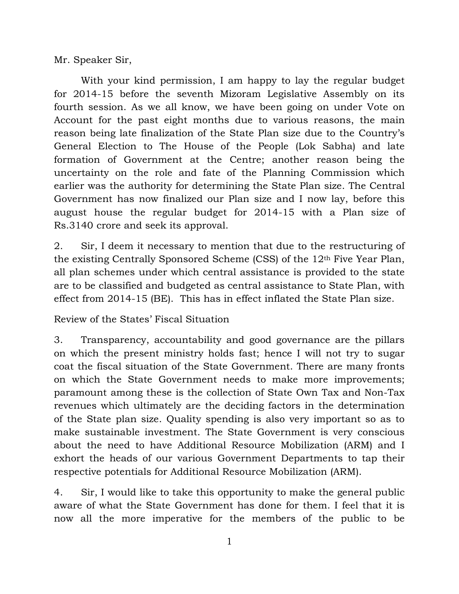Mr. Speaker Sir,

 With your kind permission, I am happy to lay the regular budget for 2014-15 before the seventh Mizoram Legislative Assembly on its fourth session. As we all know, we have been going on under Vote on Account for the past eight months due to various reasons, the main reason being late finalization of the State Plan size due to the Country's General Election to The House of the People (Lok Sabha) and late formation of Government at the Centre; another reason being the uncertainty on the role and fate of the Planning Commission which earlier was the authority for determining the State Plan size. The Central Government has now finalized our Plan size and I now lay, before this august house the regular budget for 2014-15 with a Plan size of Rs.3140 crore and seek its approval.

2. Sir, I deem it necessary to mention that due to the restructuring of the existing Centrally Sponsored Scheme (CSS) of the 12th Five Year Plan, all plan schemes under which central assistance is provided to the state are to be classified and budgeted as central assistance to State Plan, with effect from 2014-15 (BE). This has in effect inflated the State Plan size.

Review of the States' Fiscal Situation

3. Transparency, accountability and good governance are the pillars on which the present ministry holds fast; hence I will not try to sugar coat the fiscal situation of the State Government. There are many fronts on which the State Government needs to make more improvements; paramount among these is the collection of State Own Tax and Non-Tax revenues which ultimately are the deciding factors in the determination of the State plan size. Quality spending is also very important so as to make sustainable investment. The State Government is very conscious about the need to have Additional Resource Mobilization (ARM) and I exhort the heads of our various Government Departments to tap their respective potentials for Additional Resource Mobilization (ARM).

4. Sir, I would like to take this opportunity to make the general public aware of what the State Government has done for them. I feel that it is now all the more imperative for the members of the public to be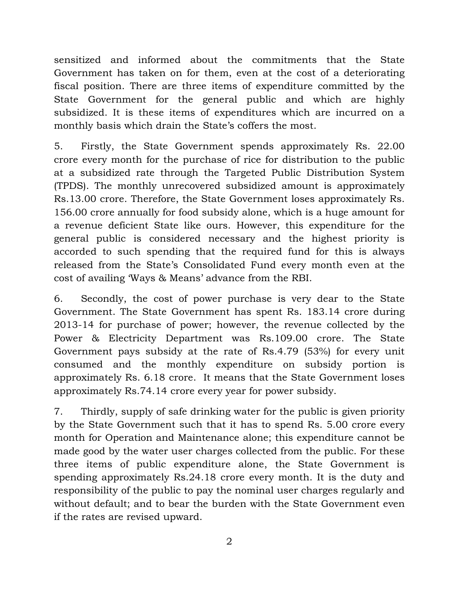sensitized and informed about the commitments that the State Government has taken on for them, even at the cost of a deteriorating fiscal position. There are three items of expenditure committed by the State Government for the general public and which are highly subsidized. It is these items of expenditures which are incurred on a monthly basis which drain the State's coffers the most.

5. Firstly, the State Government spends approximately Rs. 22.00 crore every month for the purchase of rice for distribution to the public at a subsidized rate through the Targeted Public Distribution System (TPDS). The monthly unrecovered subsidized amount is approximately Rs.13.00 crore. Therefore, the State Government loses approximately Rs. 156.00 crore annually for food subsidy alone, which is a huge amount for a revenue deficient State like ours. However, this expenditure for the general public is considered necessary and the highest priority is accorded to such spending that the required fund for this is always released from the State's Consolidated Fund every month even at the cost of availing 'Ways & Means' advance from the RBI.

6. Secondly, the cost of power purchase is very dear to the State Government. The State Government has spent Rs. 183.14 crore during 2013-14 for purchase of power; however, the revenue collected by the Power & Electricity Department was Rs.109.00 crore. The State Government pays subsidy at the rate of Rs.4.79 (53%) for every unit consumed and the monthly expenditure on subsidy portion is approximately Rs. 6.18 crore. It means that the State Government loses approximately Rs.74.14 crore every year for power subsidy.

7. Thirdly, supply of safe drinking water for the public is given priority by the State Government such that it has to spend Rs. 5.00 crore every month for Operation and Maintenance alone; this expenditure cannot be made good by the water user charges collected from the public. For these three items of public expenditure alone, the State Government is spending approximately Rs.24.18 crore every month. It is the duty and responsibility of the public to pay the nominal user charges regularly and without default; and to bear the burden with the State Government even if the rates are revised upward.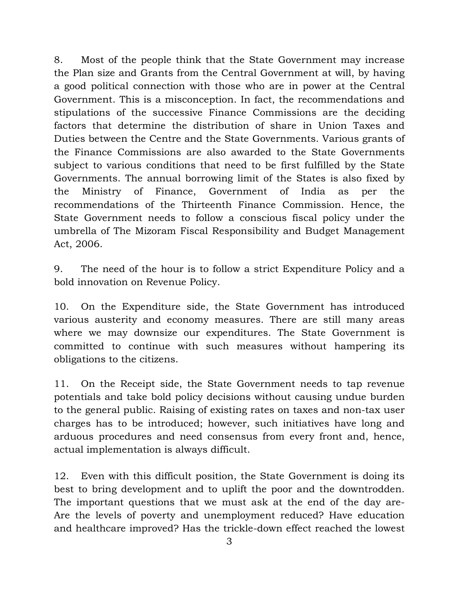8. Most of the people think that the State Government may increase the Plan size and Grants from the Central Government at will, by having a good political connection with those who are in power at the Central Government. This is a misconception. In fact, the recommendations and stipulations of the successive Finance Commissions are the deciding factors that determine the distribution of share in Union Taxes and Duties between the Centre and the State Governments. Various grants of the Finance Commissions are also awarded to the State Governments subject to various conditions that need to be first fulfilled by the State Governments. The annual borrowing limit of the States is also fixed by the Ministry of Finance, Government of India as per the recommendations of the Thirteenth Finance Commission. Hence, the State Government needs to follow a conscious fiscal policy under the umbrella of The Mizoram Fiscal Responsibility and Budget Management Act, 2006.

9. The need of the hour is to follow a strict Expenditure Policy and a bold innovation on Revenue Policy.

10. On the Expenditure side, the State Government has introduced various austerity and economy measures. There are still many areas where we may downsize our expenditures. The State Government is committed to continue with such measures without hampering its obligations to the citizens.

11. On the Receipt side, the State Government needs to tap revenue potentials and take bold policy decisions without causing undue burden to the general public. Raising of existing rates on taxes and non-tax user charges has to be introduced; however, such initiatives have long and arduous procedures and need consensus from every front and, hence, actual implementation is always difficult.

12. Even with this difficult position, the State Government is doing its best to bring development and to uplift the poor and the downtrodden. The important questions that we must ask at the end of the day are-Are the levels of poverty and unemployment reduced? Have education and healthcare improved? Has the trickle-down effect reached the lowest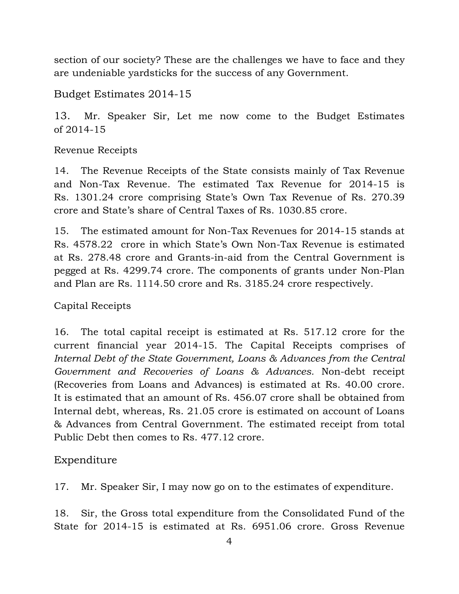section of our society? These are the challenges we have to face and they are undeniable yardsticks for the success of any Government.

Budget Estimates 2014-15

13. Mr. Speaker Sir, Let me now come to the Budget Estimates of 2014-15

Revenue Receipts

14. The Revenue Receipts of the State consists mainly of Tax Revenue and Non-Tax Revenue. The estimated Tax Revenue for 2014-15 is Rs. 1301.24 crore comprising State's Own Tax Revenue of Rs. 270.39 crore and State's share of Central Taxes of Rs. 1030.85 crore.

15. The estimated amount for Non-Tax Revenues for 2014-15 stands at Rs. 4578.22 crore in which State's Own Non-Tax Revenue is estimated at Rs. 278.48 crore and Grants-in-aid from the Central Government is pegged at Rs. 4299.74 crore. The components of grants under Non-Plan and Plan are Rs. 1114.50 crore and Rs. 3185.24 crore respectively.

### Capital Receipts

16. The total capital receipt is estimated at Rs. 517.12 crore for the current financial year 2014-15. The Capital Receipts comprises of *Internal Debt of the State Government, Loans & Advances from the Central Government and Recoveries of Loans & Advances.* Non-debt receipt (Recoveries from Loans and Advances) is estimated at Rs. 40.00 crore. It is estimated that an amount of Rs. 456.07 crore shall be obtained from Internal debt, whereas, Rs. 21.05 crore is estimated on account of Loans & Advances from Central Government. The estimated receipt from total Public Debt then comes to Rs. 477.12 crore.

### Expenditure

17. Mr. Speaker Sir, I may now go on to the estimates of expenditure.

18. Sir, the Gross total expenditure from the Consolidated Fund of the State for 2014-15 is estimated at Rs. 6951.06 crore. Gross Revenue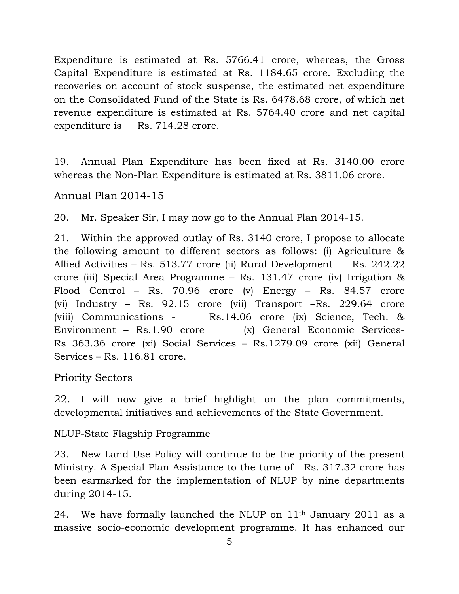Expenditure is estimated at Rs. 5766.41 crore, whereas, the Gross Capital Expenditure is estimated at Rs. 1184.65 crore. Excluding the recoveries on account of stock suspense, the estimated net expenditure on the Consolidated Fund of the State is Rs. 6478.68 crore, of which net revenue expenditure is estimated at Rs. 5764.40 crore and net capital expenditure is Rs. 714.28 crore.

19. Annual Plan Expenditure has been fixed at Rs. 3140.00 crore whereas the Non-Plan Expenditure is estimated at Rs. 3811.06 crore.

Annual Plan 2014-15

20. Mr. Speaker Sir, I may now go to the Annual Plan 2014-15.

21. Within the approved outlay of Rs. 3140 crore, I propose to allocate the following amount to different sectors as follows: (i) Agriculture & Allied Activities – Rs. 513.77 crore (ii) Rural Development - Rs. 242.22 crore (iii) Special Area Programme – Rs. 131.47 crore (iv) Irrigation & Flood Control – Rs. 70.96 crore (v) Energy – Rs. 84.57 crore (vi) Industry – Rs. 92.15 crore (vii) Transport –Rs. 229.64 crore (viii) Communications - Rs.14.06 crore (ix) Science, Tech. & Environment – Rs.1.90 crore(x) General Economic Services-Rs 363.36 crore (xi) Social Services – Rs.1279.09 crore (xii) General Services – Rs. 116.81 crore.

Priority Sectors

22. I will now give a brief highlight on the plan commitments, developmental initiatives and achievements of the State Government.

NLUP-State Flagship Programme

23. New Land Use Policy will continue to be the priority of the present Ministry. A Special Plan Assistance to the tune of Rs. 317.32 crore has been earmarked for the implementation of NLUP by nine departments during 2014-15.

24. We have formally launched the NLUP on  $11<sup>th</sup>$  January 2011 as a massive socio-economic development programme. It has enhanced our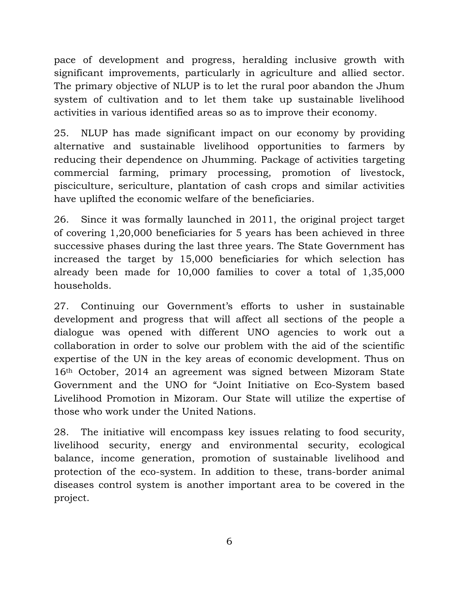pace of development and progress, heralding inclusive growth with significant improvements, particularly in agriculture and allied sector. The primary objective of NLUP is to let the rural poor abandon the Jhum system of cultivation and to let them take up sustainable livelihood activities in various identified areas so as to improve their economy.

25. NLUP has made significant impact on our economy by providing alternative and sustainable livelihood opportunities to farmers by reducing their dependence on Jhumming. Package of activities targeting commercial farming, primary processing, promotion of livestock, pisciculture, sericulture, plantation of cash crops and similar activities have uplifted the economic welfare of the beneficiaries.

26. Since it was formally launched in 2011, the original project target of covering 1,20,000 beneficiaries for 5 years has been achieved in three successive phases during the last three years. The State Government has increased the target by 15,000 beneficiaries for which selection has already been made for 10,000 families to cover a total of 1,35,000 households.

27. Continuing our Government's efforts to usher in sustainable development and progress that will affect all sections of the people a dialogue was opened with different UNO agencies to work out a collaboration in order to solve our problem with the aid of the scientific expertise of the UN in the key areas of economic development. Thus on 16th October, 2014 an agreement was signed between Mizoram State Government and the UNO for "Joint Initiative on Eco-System based Livelihood Promotion in Mizoram. Our State will utilize the expertise of those who work under the United Nations.

28. The initiative will encompass key issues relating to food security, livelihood security, energy and environmental security, ecological balance, income generation, promotion of sustainable livelihood and protection of the eco-system. In addition to these, trans-border animal diseases control system is another important area to be covered in the project.

6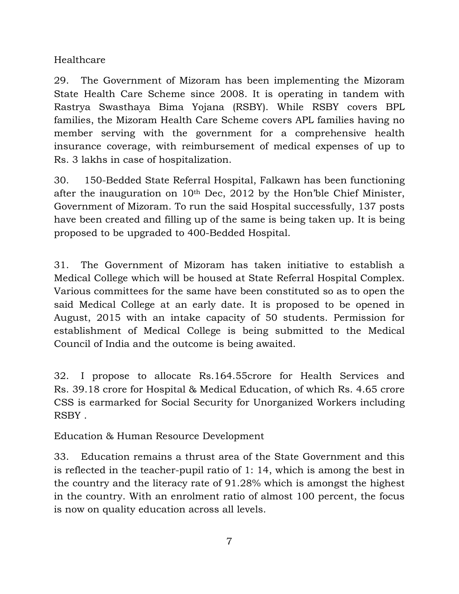Healthcare

29. The Government of Mizoram has been implementing the Mizoram State Health Care Scheme since 2008. It is operating in tandem with Rastrya Swasthaya Bima Yojana (RSBY). While RSBY covers BPL families, the Mizoram Health Care Scheme covers APL families having no member serving with the government for a comprehensive health insurance coverage, with reimbursement of medical expenses of up to Rs. 3 lakhs in case of hospitalization.

30. 150-Bedded State Referral Hospital, Falkawn has been functioning after the inauguration on 10th Dec, 2012 by the Hon'ble Chief Minister, Government of Mizoram. To run the said Hospital successfully, 137 posts have been created and filling up of the same is being taken up. It is being proposed to be upgraded to 400-Bedded Hospital.

31. The Government of Mizoram has taken initiative to establish a Medical College which will be housed at State Referral Hospital Complex. Various committees for the same have been constituted so as to open the said Medical College at an early date. It is proposed to be opened in August, 2015 with an intake capacity of 50 students. Permission for establishment of Medical College is being submitted to the Medical Council of India and the outcome is being awaited.

32. I propose to allocate Rs.164.55crore for Health Services and Rs. 39.18 crore for Hospital & Medical Education, of which Rs. 4.65 crore CSS is earmarked for Social Security for Unorganized Workers including RSBY .

Education & Human Resource Development

33. Education remains a thrust area of the State Government and this is reflected in the teacher-pupil ratio of 1: 14, which is among the best in the country and the literacy rate of 91.28% which is amongst the highest in the country. With an enrolment ratio of almost 100 percent, the focus is now on quality education across all levels.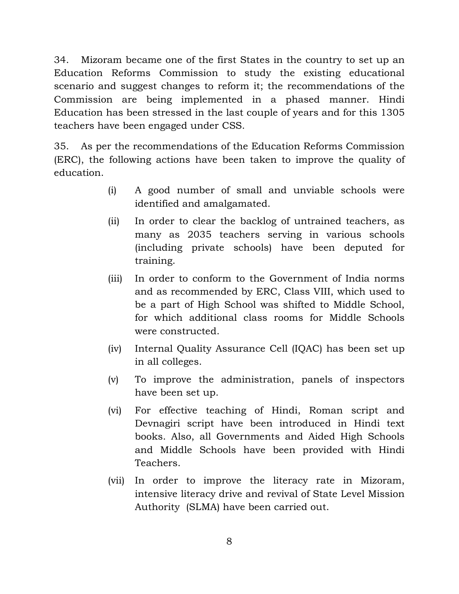34. Mizoram became one of the first States in the country to set up an Education Reforms Commission to study the existing educational scenario and suggest changes to reform it; the recommendations of the Commission are being implemented in a phased manner. Hindi Education has been stressed in the last couple of years and for this 1305 teachers have been engaged under CSS.

35. As per the recommendations of the Education Reforms Commission (ERC), the following actions have been taken to improve the quality of education.

- (i) A good number of small and unviable schools were identified and amalgamated.
- (ii) In order to clear the backlog of untrained teachers, as many as 2035 teachers serving in various schools (including private schools) have been deputed for training.
- (iii) In order to conform to the Government of India norms and as recommended by ERC, Class VIII, which used to be a part of High School was shifted to Middle School, for which additional class rooms for Middle Schools were constructed.
- (iv) Internal Quality Assurance Cell (IQAC) has been set up in all colleges.
- (v) To improve the administration, panels of inspectors have been set up.
- (vi) For effective teaching of Hindi, Roman script and Devnagiri script have been introduced in Hindi text books. Also, all Governments and Aided High Schools and Middle Schools have been provided with Hindi Teachers.
- (vii) In order to improve the literacy rate in Mizoram, intensive literacy drive and revival of State Level Mission Authority (SLMA) have been carried out.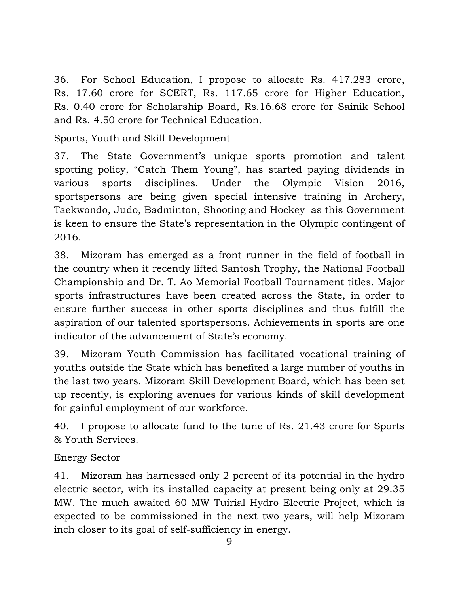36. For School Education, I propose to allocate Rs. 417.283 crore, Rs. 17.60 crore for SCERT, Rs. 117.65 crore for Higher Education, Rs. 0.40 crore for Scholarship Board, Rs.16.68 crore for Sainik School and Rs. 4.50 crore for Technical Education.

Sports, Youth and Skill Development

37. The State Government's unique sports promotion and talent spotting policy, "Catch Them Young", has started paying dividends in various sports disciplines. Under the Olympic Vision 2016, sportspersons are being given special intensive training in Archery, Taekwondo, Judo, Badminton, Shooting and Hockey as this Government is keen to ensure the State's representation in the Olympic contingent of 2016.

38. Mizoram has emerged as a front runner in the field of football in the country when it recently lifted Santosh Trophy, the National Football Championship and Dr. T. Ao Memorial Football Tournament titles. Major sports infrastructures have been created across the State, in order to ensure further success in other sports disciplines and thus fulfill the aspiration of our talented sportspersons. Achievements in sports are one indicator of the advancement of State's economy.

39. Mizoram Youth Commission has facilitated vocational training of youths outside the State which has benefited a large number of youths in the last two years. Mizoram Skill Development Board, which has been set up recently, is exploring avenues for various kinds of skill development for gainful employment of our workforce.

40. I propose to allocate fund to the tune of Rs. 21.43 crore for Sports & Youth Services.

### Energy Sector

41. Mizoram has harnessed only 2 percent of its potential in the hydro electric sector, with its installed capacity at present being only at 29.35 MW. The much awaited 60 MW Tuirial Hydro Electric Project, which is expected to be commissioned in the next two years, will help Mizoram inch closer to its goal of self-sufficiency in energy.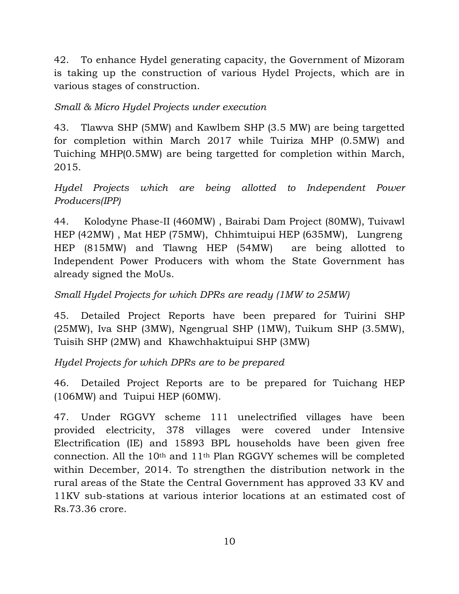42. To enhance Hydel generating capacity, the Government of Mizoram is taking up the construction of various Hydel Projects, which are in various stages of construction.

## *Small & Micro Hydel Projects under execution*

43. Tlawva SHP (5MW) and Kawlbem SHP (3.5 MW) are being targetted for completion within March 2017 while Tuiriza MHP (0.5MW) and Tuiching MHP(0.5MW) are being targetted for completion within March, 2015.

*Hydel Projects which are being allotted to Independent Power Producers(IPP)* 

44. Kolodyne Phase-II (460MW) , Bairabi Dam Project (80MW), Tuivawl HEP (42MW) , Mat HEP (75MW), Chhimtuipui HEP (635MW), Lungreng HEP (815MW) and Tlawng HEP (54MW) are being allotted to Independent Power Producers with whom the State Government has already signed the MoUs.

## *Small Hydel Projects for which DPRs are ready (1MW to 25MW)*

45. Detailed Project Reports have been prepared for Tuirini SHP (25MW), Iva SHP (3MW), Ngengrual SHP (1MW), Tuikum SHP (3.5MW), Tuisih SHP (2MW) and Khawchhaktuipui SHP (3MW)

*Hydel Projects for which DPRs are to be prepared* 

46. Detailed Project Reports are to be prepared for Tuichang HEP (106MW) and Tuipui HEP (60MW).

47. Under RGGVY scheme 111 unelectrified villages have been provided electricity, 378 villages were covered under Intensive Electrification (IE) and 15893 BPL households have been given free connection. All the 10th and 11th Plan RGGVY schemes will be completed within December, 2014. To strengthen the distribution network in the rural areas of the State the Central Government has approved 33 KV and 11KV sub-stations at various interior locations at an estimated cost of Rs.73.36 crore.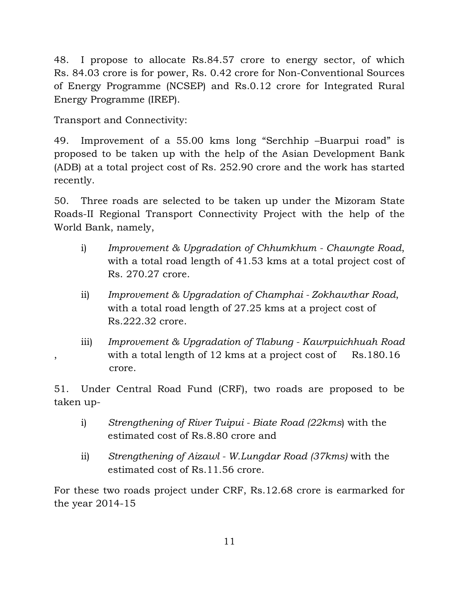48. I propose to allocate Rs.84.57 crore to energy sector, of which Rs. 84.03 crore is for power, Rs. 0.42 crore for Non-Conventional Sources of Energy Programme (NCSEP) and Rs.0.12 crore for Integrated Rural Energy Programme (IREP).

Transport and Connectivity:

49. Improvement of a 55.00 kms long "Serchhip –Buarpui road" is proposed to be taken up with the help of the Asian Development Bank (ADB) at a total project cost of Rs. 252.90 crore and the work has started recently.

50. Three roads are selected to be taken up under the Mizoram State Roads-II Regional Transport Connectivity Project with the help of the World Bank, namely,

- i) *Improvement & Upgradation of Chhumkhum Chawngte Road*, with a total road length of 41.53 kms at a total project cost of Rs. 270.27 crore.
- ii) *Improvement & Upgradation of Champhai Zokhawthar Road*, with a total road length of 27.25 kms at a project cost of Rs.222.32 crore.
- iii) *Improvement & Upgradation of Tlabung Kawrpuichhuah Road*  , with a total length of 12 kms at a project cost of Rs.180.16 crore.

51. Under Central Road Fund (CRF), two roads are proposed to be taken up-

- i) *Strengthening of River Tuipui Biate Road (22kms*) with the estimated cost of Rs.8.80 crore and
- ii) *Strengthening of Aizawl W.Lungdar Road (37kms)* with the estimated cost of Rs.11.56 crore.

For these two roads project under CRF, Rs.12.68 crore is earmarked for the year 2014-15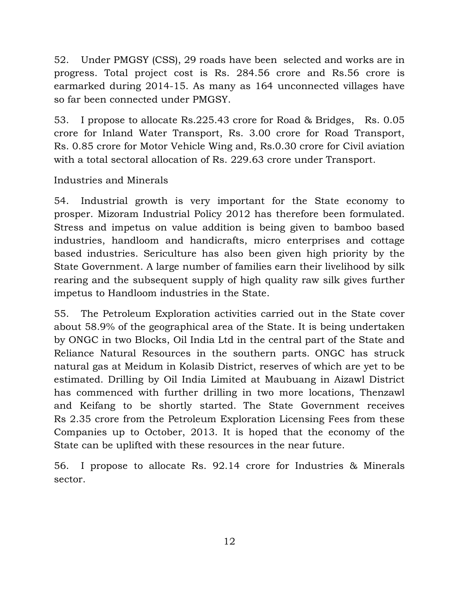52. Under PMGSY (CSS), 29 roads have been selected and works are in progress. Total project cost is Rs. 284.56 crore and Rs.56 crore is earmarked during 2014-15. As many as 164 unconnected villages have so far been connected under PMGSY.

53. I propose to allocate Rs.225.43 crore for Road & Bridges, Rs. 0.05 crore for Inland Water Transport, Rs. 3.00 crore for Road Transport, Rs. 0.85 crore for Motor Vehicle Wing and, Rs.0.30 crore for Civil aviation with a total sectoral allocation of Rs. 229.63 crore under Transport.

## Industries and Minerals

54. Industrial growth is very important for the State economy to prosper. Mizoram Industrial Policy 2012 has therefore been formulated. Stress and impetus on value addition is being given to bamboo based industries, handloom and handicrafts, micro enterprises and cottage based industries. Sericulture has also been given high priority by the State Government. A large number of families earn their livelihood by silk rearing and the subsequent supply of high quality raw silk gives further impetus to Handloom industries in the State.

55. The Petroleum Exploration activities carried out in the State cover about 58.9% of the geographical area of the State. It is being undertaken by ONGC in two Blocks, Oil India Ltd in the central part of the State and Reliance Natural Resources in the southern parts. ONGC has struck natural gas at Meidum in Kolasib District, reserves of which are yet to be estimated. Drilling by Oil India Limited at Maubuang in Aizawl District has commenced with further drilling in two more locations, Thenzawl and Keifang to be shortly started. The State Government receives Rs 2.35 crore from the Petroleum Exploration Licensing Fees from these Companies up to October, 2013. It is hoped that the economy of the State can be uplifted with these resources in the near future.

56. I propose to allocate Rs. 92.14 crore for Industries & Minerals sector.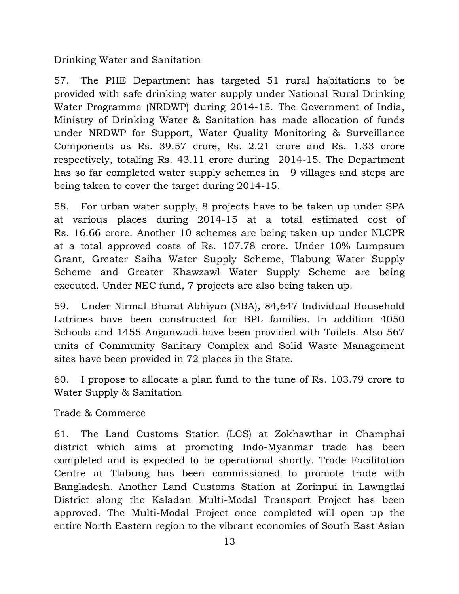Drinking Water and Sanitation

57. The PHE Department has targeted 51 rural habitations to be provided with safe drinking water supply under National Rural Drinking Water Programme (NRDWP) during 2014-15. The Government of India, Ministry of Drinking Water & Sanitation has made allocation of funds under NRDWP for Support, Water Quality Monitoring & Surveillance Components as Rs. 39.57 crore, Rs. 2.21 crore and Rs. 1.33 crore respectively, totaling Rs. 43.11 crore during 2014-15. The Department has so far completed water supply schemes in 9 villages and steps are being taken to cover the target during 2014-15.

58. For urban water supply, 8 projects have to be taken up under SPA at various places during 2014-15 at a total estimated cost of Rs. 16.66 crore. Another 10 schemes are being taken up under NLCPR at a total approved costs of Rs. 107.78 crore. Under 10% Lumpsum Grant, Greater Saiha Water Supply Scheme, Tlabung Water Supply Scheme and Greater Khawzawl Water Supply Scheme are being executed. Under NEC fund, 7 projects are also being taken up.

59. Under Nirmal Bharat Abhiyan (NBA), 84,647 Individual Household Latrines have been constructed for BPL families. In addition 4050 Schools and 1455 Anganwadi have been provided with Toilets. Also 567 units of Community Sanitary Complex and Solid Waste Management sites have been provided in 72 places in the State.

60. I propose to allocate a plan fund to the tune of Rs. 103.79 crore to Water Supply & Sanitation

Trade & Commerce

61. The Land Customs Station (LCS) at Zokhawthar in Champhai district which aims at promoting Indo-Myanmar trade has been completed and is expected to be operational shortly. Trade Facilitation Centre at Tlabung has been commissioned to promote trade with Bangladesh. Another Land Customs Station at Zorinpui in Lawngtlai District along the Kaladan Multi-Modal Transport Project has been approved. The Multi-Modal Project once completed will open up the entire North Eastern region to the vibrant economies of South East Asian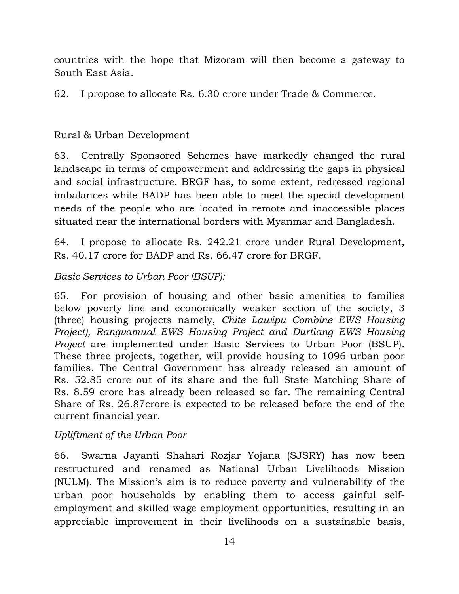countries with the hope that Mizoram will then become a gateway to South East Asia.

62. I propose to allocate Rs. 6.30 crore under Trade & Commerce.

### Rural & Urban Development

63. Centrally Sponsored Schemes have markedly changed the rural landscape in terms of empowerment and addressing the gaps in physical and social infrastructure. BRGF has, to some extent, redressed regional imbalances while BADP has been able to meet the special development needs of the people who are located in remote and inaccessible places situated near the international borders with Myanmar and Bangladesh.

64. I propose to allocate Rs. 242.21 crore under Rural Development, Rs. 40.17 crore for BADP and Rs. 66.47 crore for BRGF.

### *Basic Services to Urban Poor (BSUP):*

65. For provision of housing and other basic amenities to families below poverty line and economically weaker section of the society, 3 (three) housing projects namely, *Chite Lawipu Combine EWS Housing Project), Rangvamual EWS Housing Project and Durtlang EWS Housing Project* are implemented under Basic Services to Urban Poor (BSUP). These three projects, together, will provide housing to 1096 urban poor families. The Central Government has already released an amount of Rs. 52.85 crore out of its share and the full State Matching Share of Rs. 8.59 crore has already been released so far. The remaining Central Share of Rs. 26.87crore is expected to be released before the end of the current financial year.

### *Upliftment of the Urban Poor*

66. Swarna Jayanti Shahari Rozjar Yojana (SJSRY) has now been restructured and renamed as National Urban Livelihoods Mission (NULM). The Mission's aim is to reduce poverty and vulnerability of the urban poor households by enabling them to access gainful selfemployment and skilled wage employment opportunities, resulting in an appreciable improvement in their livelihoods on a sustainable basis,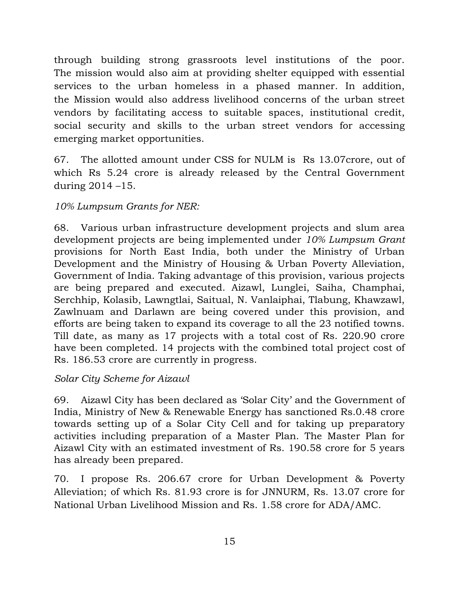through building strong grassroots level institutions of the poor. The mission would also aim at providing shelter equipped with essential services to the urban homeless in a phased manner. In addition, the Mission would also address livelihood concerns of the urban street vendors by facilitating access to suitable spaces, institutional credit, social security and skills to the urban street vendors for accessing emerging market opportunities.

67. The allotted amount under CSS for NULM is Rs 13.07crore, out of which Rs 5.24 crore is already released by the Central Government during 2014 –15.

# *10% Lumpsum Grants for NER:*

68. Various urban infrastructure development projects and slum area development projects are being implemented under *10% Lumpsum Grant* provisions for North East India, both under the Ministry of Urban Development and the Ministry of Housing & Urban Poverty Alleviation, Government of India. Taking advantage of this provision, various projects are being prepared and executed. Aizawl, Lunglei, Saiha, Champhai, Serchhip, Kolasib, Lawngtlai, Saitual, N. Vanlaiphai, Tlabung, Khawzawl, Zawlnuam and Darlawn are being covered under this provision, and efforts are being taken to expand its coverage to all the 23 notified towns. Till date, as many as 17 projects with a total cost of Rs. 220.90 crore have been completed. 14 projects with the combined total project cost of Rs. 186.53 crore are currently in progress.

### *Solar City Scheme for Aizawl*

69. Aizawl City has been declared as 'Solar City' and the Government of India, Ministry of New & Renewable Energy has sanctioned Rs.0.48 crore towards setting up of a Solar City Cell and for taking up preparatory activities including preparation of a Master Plan. The Master Plan for Aizawl City with an estimated investment of Rs. 190.58 crore for 5 years has already been prepared.

70. I propose Rs. 206.67 crore for Urban Development & Poverty Alleviation; of which Rs. 81.93 crore is for JNNURM, Rs. 13.07 crore for National Urban Livelihood Mission and Rs. 1.58 crore for ADA/AMC.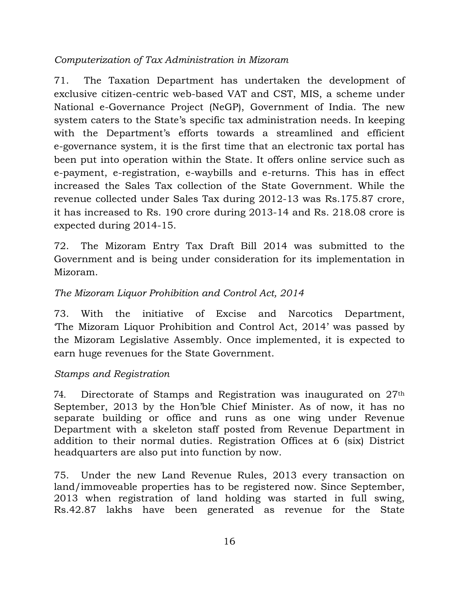### *Computerization of Tax Administration in Mizoram*

71. The Taxation Department has undertaken the development of exclusive citizen-centric web-based VAT and CST, MIS, a scheme under National e-Governance Project (NeGP), Government of India. The new system caters to the State's specific tax administration needs. In keeping with the Department's efforts towards a streamlined and efficient e-governance system, it is the first time that an electronic tax portal has been put into operation within the State. It offers online service such as e-payment, e-registration, e-waybills and e-returns. This has in effect increased the Sales Tax collection of the State Government. While the revenue collected under Sales Tax during 2012-13 was Rs.175.87 crore, it has increased to Rs. 190 crore during 2013-14 and Rs. 218.08 crore is expected during 2014-15.

72. The Mizoram Entry Tax Draft Bill 2014 was submitted to the Government and is being under consideration for its implementation in Mizoram.

# *The Mizoram Liquor Prohibition and Control Act, 2014*

73. With the initiative of Excise and Narcotics Department, 'The Mizoram Liquor Prohibition and Control Act, 2014' was passed by the Mizoram Legislative Assembly. Once implemented, it is expected to earn huge revenues for the State Government.

# *Stamps and Registration*

74. Directorate of Stamps and Registration was inaugurated on 27th September, 2013 by the Hon'ble Chief Minister. As of now, it has no separate building or office and runs as one wing under Revenue Department with a skeleton staff posted from Revenue Department in addition to their normal duties. Registration Offices at 6 (six) District headquarters are also put into function by now.

75. Under the new Land Revenue Rules, 2013 every transaction on land/immoveable properties has to be registered now. Since September, 2013 when registration of land holding was started in full swing, Rs.42.87 lakhs have been generated as revenue for the State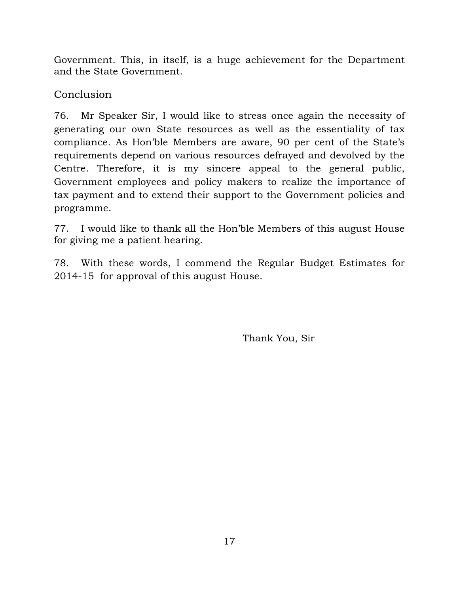Government. This, in itself, is a huge achievement for the Department and the State Government.

**Conclusion** 

76. Mr Speaker Sir, I would like to stress once again the necessity of generating our own State resources as well as the essentiality of tax compliance. As Hon'ble Members are aware, 90 per cent of the State's requirements depend on various resources defrayed and devolved by the Centre. Therefore, it is my sincere appeal to the general public, Government employees and policy makers to realize the importance of tax payment and to extend their support to the Government policies and programme.

77. I would like to thank all the Hon'ble Members of this august House for giving me a patient hearing.

78. With these words, I commend the Regular Budget Estimates for 2014-15 for approval of this august House.

Thank You, Sir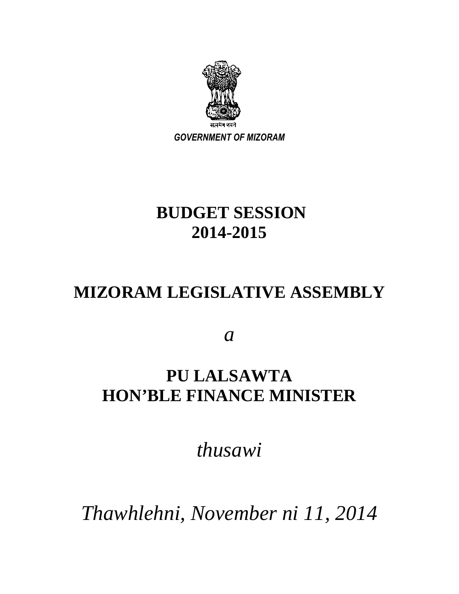

# **BUDGET SESSION 2014-2015**

# **MIZORAM LEGISLATIVE ASSEMBLY**

*a* 

# **PU LALSAWTA HON'BLE FINANCE MINISTER**

*thusawi* 

*Thawhlehni, November ni 11, 2014*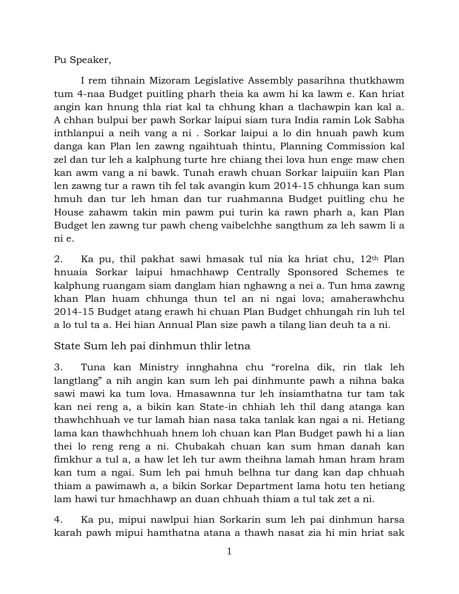Pu Speaker,

 I rem tihnain Mizoram Legislative Assembly pasarihna thutkhawm tum 4-naa Budget puitling pharh theia ka awm hi ka lawm e. Kan hriat angin kan hnung thla riat kal ta chhung khan a tlachawpin kan kal a. A chhan bulpui ber pawh Sorkar laipui siam tura India ramin Lok Sabha inthlanpui a neih vang a ni . Sorkar laipui a lo din hnuah pawh kum danga kan Plan len zawng ngaihtuah thintu, Planning Commission kal zel dan tur leh a kalphung turte hre chiang thei lova hun enge maw chen kan awm vang a ni bawk. Tunah erawh chuan Sorkar laipuiin kan Plan len zawng tur a rawn tih fel tak avangin kum 2014-15 chhunga kan sum hmuh dan tur leh hman dan tur ruahmanna Budget puitling chu he House zahawm takin min pawm pui turin ka rawn pharh a, kan Plan Budget len zawng tur pawh cheng vaibelchhe sangthum za leh sawm li a ni e.

2. Ka pu, thil pakhat sawi hmasak tul nia ka hriat chu, 12th Plan hnuaia Sorkar laipui hmachhawp Centrally Sponsored Schemes te kalphung ruangam siam danglam hian nghawng a nei a. Tun hma zawng khan Plan huam chhunga thun tel an ni ngai lova; amaherawhchu 2014-15 Budget atang erawh hi chuan Plan Budget chhungah rin luh tel a lo tul ta a. Hei hian Annual Plan size pawh a tilang lian deuh ta a ni.

State Sum leh pai dinhmun thlir letna

3. Tuna kan Ministry innghahna chu "rorelna dik, rin tlak leh langtlang" a nih angin kan sum leh pai dinhmunte pawh a nihna baka sawi mawi ka tum lova. Hmasawnna tur leh insiamthatna tur tam tak kan nei reng a, a bikin kan State-in chhiah leh thil dang atanga kan thawhchhuah ve tur lamah hian nasa taka tanlak kan ngai a ni. Hetiang lama kan thawhchhuah hnem loh chuan kan Plan Budget pawh hi a lian thei lo reng reng a ni. Chubakah chuan kan sum hman danah kan fimkhur a tul a, a haw let leh tur awm theihna lamah hman hram hram kan tum a ngai. Sum leh pai hmuh belhna tur dang kan dap chhuah thiam a pawimawh a, a bikin Sorkar Department lama hotu ten hetiang lam hawi tur hmachhawp an duan chhuah thiam a tul tak zet a ni.

4. Ka pu, mipui nawlpui hian Sorkarin sum leh pai dinhmun harsa karah pawh mipui hamthatna atana a thawh nasat zia hi min hriat sak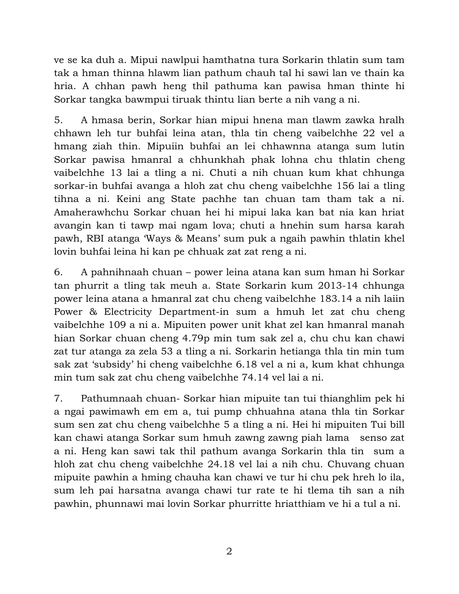ve se ka duh a. Mipui nawlpui hamthatna tura Sorkarin thlatin sum tam tak a hman thinna hlawm lian pathum chauh tal hi sawi lan ve thain ka hria. A chhan pawh heng thil pathuma kan pawisa hman thinte hi Sorkar tangka bawmpui tiruak thintu lian berte a nih vang a ni.

5. A hmasa berin, Sorkar hian mipui hnena man tlawm zawka hralh chhawn leh tur buhfai leina atan, thla tin cheng vaibelchhe 22 vel a hmang ziah thin. Mipuiin buhfai an lei chhawnna atanga sum lutin Sorkar pawisa hmanral a chhunkhah phak lohna chu thlatin cheng vaibelchhe 13 lai a tling a ni. Chuti a nih chuan kum khat chhunga sorkar-in buhfai avanga a hloh zat chu cheng vaibelchhe 156 lai a tling tihna a ni. Keini ang State pachhe tan chuan tam tham tak a ni. Amaherawhchu Sorkar chuan hei hi mipui laka kan bat nia kan hriat avangin kan ti tawp mai ngam lova; chuti a hnehin sum harsa karah pawh, RBI atanga 'Ways & Means' sum puk a ngaih pawhin thlatin khel lovin buhfai leina hi kan pe chhuak zat zat reng a ni.

6. A pahnihnaah chuan – power leina atana kan sum hman hi Sorkar tan phurrit a tling tak meuh a. State Sorkarin kum 2013-14 chhunga power leina atana a hmanral zat chu cheng vaibelchhe 183.14 a nih laiin Power & Electricity Department-in sum a hmuh let zat chu cheng vaibelchhe 109 a ni a. Mipuiten power unit khat zel kan hmanral manah hian Sorkar chuan cheng 4.79p min tum sak zel a, chu chu kan chawi zat tur atanga za zela 53 a tling a ni. Sorkarin hetianga thla tin min tum sak zat 'subsidy' hi cheng vaibelchhe 6.18 vel a ni a, kum khat chhunga min tum sak zat chu cheng vaibelchhe 74.14 vel lai a ni.

7. Pathumnaah chuan- Sorkar hian mipuite tan tui thianghlim pek hi a ngai pawimawh em em a, tui pump chhuahna atana thla tin Sorkar sum sen zat chu cheng vaibelchhe 5 a tling a ni. Hei hi mipuiten Tui bill kan chawi atanga Sorkar sum hmuh zawng zawng piah lama senso zat a ni. Heng kan sawi tak thil pathum avanga Sorkarin thla tin sum a hloh zat chu cheng vaibelchhe 24.18 vel lai a nih chu. Chuvang chuan mipuite pawhin a hming chauha kan chawi ve tur hi chu pek hreh lo ila, sum leh pai harsatna avanga chawi tur rate te hi tlema tih san a nih pawhin, phunnawi mai lovin Sorkar phurritte hriatthiam ve hi a tul a ni.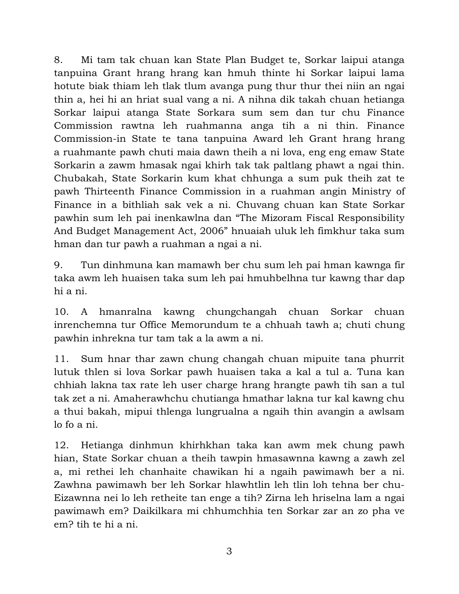8. Mi tam tak chuan kan State Plan Budget te, Sorkar laipui atanga tanpuina Grant hrang hrang kan hmuh thinte hi Sorkar laipui lama hotute biak thiam leh tlak tlum avanga pung thur thur thei niin an ngai thin a, hei hi an hriat sual vang a ni. A nihna dik takah chuan hetianga Sorkar laipui atanga State Sorkara sum sem dan tur chu Finance Commission rawtna leh ruahmanna anga tih a ni thin. Finance Commission-in State te tana tanpuina Award leh Grant hrang hrang a ruahmante pawh chuti maia dawn theih a ni lova, eng eng emaw State Sorkarin a zawm hmasak ngai khirh tak tak paltlang phawt a ngai thin. Chubakah, State Sorkarin kum khat chhunga a sum puk theih zat te pawh Thirteenth Finance Commission in a ruahman angin Ministry of Finance in a bithliah sak vek a ni. Chuvang chuan kan State Sorkar pawhin sum leh pai inenkawlna dan "The Mizoram Fiscal Responsibility And Budget Management Act, 2006" hnuaiah uluk leh fimkhur taka sum hman dan tur pawh a ruahman a ngai a ni.

9. Tun dinhmuna kan mamawh ber chu sum leh pai hman kawnga fir taka awm leh huaisen taka sum leh pai hmuhbelhna tur kawng thar dap hi a ni.

10. A hmanralna kawng chungchangah chuan Sorkar chuan inrenchemna tur Office Memorundum te a chhuah tawh a; chuti chung pawhin inhrekna tur tam tak a la awm a ni.

11. Sum hnar thar zawn chung changah chuan mipuite tana phurrit lutuk thlen si lova Sorkar pawh huaisen taka a kal a tul a. Tuna kan chhiah lakna tax rate leh user charge hrang hrangte pawh tih san a tul tak zet a ni. Amaherawhchu chutianga hmathar lakna tur kal kawng chu a thui bakah, mipui thlenga lungrualna a ngaih thin avangin a awlsam lo fo a ni.

12. Hetianga dinhmun khirhkhan taka kan awm mek chung pawh hian, State Sorkar chuan a theih tawpin hmasawnna kawng a zawh zel a, mi rethei leh chanhaite chawikan hi a ngaih pawimawh ber a ni. Zawhna pawimawh ber leh Sorkar hlawhtlin leh tlin loh tehna ber chu-Eizawnna nei lo leh retheite tan enge a tih? Zirna leh hriselna lam a ngai pawimawh em? Daikilkara mi chhumchhia ten Sorkar zar an zo pha ve em? tih te hi a ni.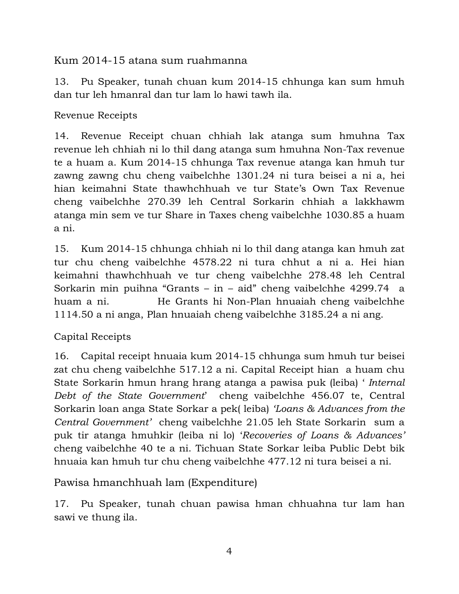## Kum 2014-15 atana sum ruahmanna

13. Pu Speaker, tunah chuan kum 2014-15 chhunga kan sum hmuh dan tur leh hmanral dan tur lam lo hawi tawh ila.

Revenue Receipts

14. Revenue Receipt chuan chhiah lak atanga sum hmuhna Tax revenue leh chhiah ni lo thil dang atanga sum hmuhna Non-Tax revenue te a huam a. Kum 2014-15 chhunga Tax revenue atanga kan hmuh tur zawng zawng chu cheng vaibelchhe 1301.24 ni tura beisei a ni a, hei hian keimahni State thawhchhuah ve tur State's Own Tax Revenue cheng vaibelchhe 270.39 leh Central Sorkarin chhiah a lakkhawm atanga min sem ve tur Share in Taxes cheng vaibelchhe 1030.85 a huam a ni.

15. Kum 2014-15 chhunga chhiah ni lo thil dang atanga kan hmuh zat tur chu cheng vaibelchhe 4578.22 ni tura chhut a ni a. Hei hian keimahni thawhchhuah ve tur cheng vaibelchhe 278.48 leh Central Sorkarin min puihna "Grants – in – aid" cheng vaibelchhe 4299.74 a huam a ni. He Grants hi Non-Plan hnuaiah cheng vaibelchhe 1114.50 a ni anga, Plan hnuaiah cheng vaibelchhe 3185.24 a ni ang.

# Capital Receipts

16. Capital receipt hnuaia kum 2014-15 chhunga sum hmuh tur beisei zat chu cheng vaibelchhe 517.12 a ni. Capital Receipt hian a huam chu State Sorkarin hmun hrang hrang atanga a pawisa puk (leiba) ' *Internal Debt of the State Government*' cheng vaibelchhe 456.07 te, Central Sorkarin loan anga State Sorkar a pek( leiba) *'Loans & Advances from the Central Government'* cheng vaibelchhe 21.05 leh State Sorkarin sum a puk tir atanga hmuhkir (leiba ni lo) '*Recoveries of Loans & Advances'*  cheng vaibelchhe 40 te a ni. Tichuan State Sorkar leiba Public Debt bik hnuaia kan hmuh tur chu cheng vaibelchhe 477.12 ni tura beisei a ni.

Pawisa hmanchhuah lam (Expenditure)

17. Pu Speaker, tunah chuan pawisa hman chhuahna tur lam han sawi ve thung ila.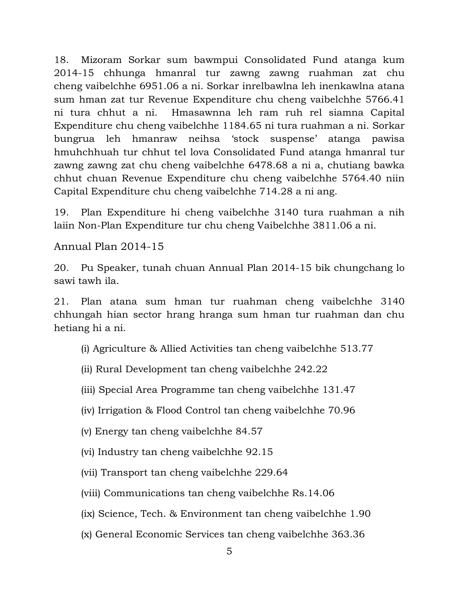18. Mizoram Sorkar sum bawmpui Consolidated Fund atanga kum 2014-15 chhunga hmanral tur zawng zawng ruahman zat chu cheng vaibelchhe 6951.06 a ni. Sorkar inrelbawlna leh inenkawlna atana sum hman zat tur Revenue Expenditure chu cheng vaibelchhe 5766.41 ni tura chhut a ni. Hmasawnna leh ram ruh rel siamna Capital Expenditure chu cheng vaibelchhe 1184.65 ni tura ruahman a ni. Sorkar bungrua leh hmanraw neihsa 'stock suspense' atanga pawisa hmuhchhuah tur chhut tel lova Consolidated Fund atanga hmanral tur zawng zawng zat chu cheng vaibelchhe 6478.68 a ni a, chutiang bawka chhut chuan Revenue Expenditure chu cheng vaibelchhe 5764.40 niin Capital Expenditure chu cheng vaibelchhe 714.28 a ni ang.

19. Plan Expenditure hi cheng vaibelchhe 3140 tura ruahman a nih laiin Non-Plan Expenditure tur chu cheng Vaibelchhe 3811.06 a ni.

Annual Plan 2014-15

20. Pu Speaker, tunah chuan Annual Plan 2014-15 bik chungchang lo sawi tawh ila.

21. Plan atana sum hman tur ruahman cheng vaibelchhe 3140 chhungah hian sector hrang hranga sum hman tur ruahman dan chu hetiang hi a ni.

(i) Agriculture & Allied Activities tan cheng vaibelchhe 513.77

- (ii) Rural Development tan cheng vaibelchhe 242.22
- (iii) Special Area Programme tan cheng vaibelchhe 131.47
- (iv) Irrigation & Flood Control tan cheng vaibelchhe 70.96
- (v) Energy tan cheng vaibelchhe 84.57
- (vi) Industry tan cheng vaibelchhe 92.15
- (vii) Transport tan cheng vaibelchhe 229.64
- (viii) Communications tan cheng vaibelchhe Rs.14.06
- (ix) Science, Tech. & Environment tan cheng vaibelchhe 1.90
- (x) General Economic Services tan cheng vaibelchhe 363.36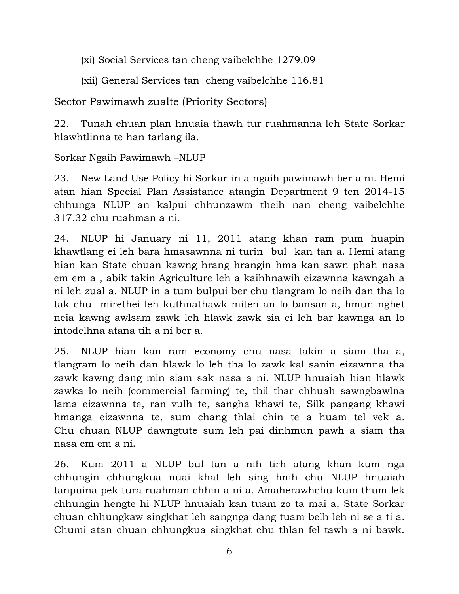(xi) Social Services tan cheng vaibelchhe 1279.09

(xii) General Services tan cheng vaibelchhe 116.81

Sector Pawimawh zualte (Priority Sectors)

22. Tunah chuan plan hnuaia thawh tur ruahmanna leh State Sorkar hlawhtlinna te han tarlang ila.

Sorkar Ngaih Pawimawh –NLUP

23. New Land Use Policy hi Sorkar-in a ngaih pawimawh ber a ni. Hemi atan hian Special Plan Assistance atangin Department 9 ten 2014-15 chhunga NLUP an kalpui chhunzawm theih nan cheng vaibelchhe 317.32 chu ruahman a ni.

24. NLUP hi January ni 11, 2011 atang khan ram pum huapin khawtlang ei leh bara hmasawnna ni turin bul kan tan a. Hemi atang hian kan State chuan kawng hrang hrangin hma kan sawn phah nasa em em a , abik takin Agriculture leh a kaihhnawih eizawnna kawngah a ni leh zual a. NLUP in a tum bulpui ber chu tlangram lo neih dan tha lo tak chu mirethei leh kuthnathawk miten an lo bansan a, hmun nghet neia kawng awlsam zawk leh hlawk zawk sia ei leh bar kawnga an lo intodelhna atana tih a ni ber a.

25. NLUP hian kan ram economy chu nasa takin a siam tha a, tlangram lo neih dan hlawk lo leh tha lo zawk kal sanin eizawnna tha zawk kawng dang min siam sak nasa a ni. NLUP hnuaiah hian hlawk zawka lo neih (commercial farming) te, thil thar chhuah sawngbawlna lama eizawnna te, ran vulh te, sangha khawi te, Silk pangang khawi hmanga eizawnna te, sum chang thlai chin te a huam tel vek a. Chu chuan NLUP dawngtute sum leh pai dinhmun pawh a siam tha nasa em em a ni.

26. Kum 2011 a NLUP bul tan a nih tirh atang khan kum nga chhungin chhungkua nuai khat leh sing hnih chu NLUP hnuaiah tanpuina pek tura ruahman chhin a ni a. Amaherawhchu kum thum lek chhungin hengte hi NLUP hnuaiah kan tuam zo ta mai a, State Sorkar chuan chhungkaw singkhat leh sangnga dang tuam belh leh ni se a ti a. Chumi atan chuan chhungkua singkhat chu thlan fel tawh a ni bawk.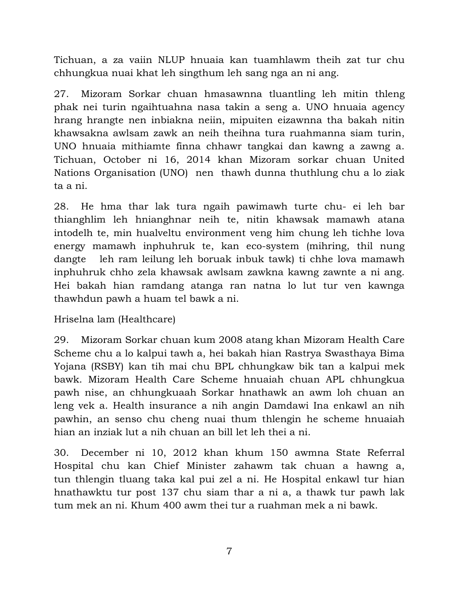Tichuan, a za vaiin NLUP hnuaia kan tuamhlawm theih zat tur chu chhungkua nuai khat leh singthum leh sang nga an ni ang.

27. Mizoram Sorkar chuan hmasawnna tluantling leh mitin thleng phak nei turin ngaihtuahna nasa takin a seng a. UNO hnuaia agency hrang hrangte nen inbiakna neiin, mipuiten eizawnna tha bakah nitin khawsakna awlsam zawk an neih theihna tura ruahmanna siam turin, UNO hnuaia mithiamte finna chhawr tangkai dan kawng a zawng a. Tichuan, October ni 16, 2014 khan Mizoram sorkar chuan United Nations Organisation (UNO) nen thawh dunna thuthlung chu a lo ziak ta a ni.

28. He hma thar lak tura ngaih pawimawh turte chu- ei leh bar thianghlim leh hnianghnar neih te, nitin khawsak mamawh atana intodelh te, min hualveltu environment veng him chung leh tichhe lova energy mamawh inphuhruk te, kan eco-system (mihring, thil nung dangte leh ram leilung leh boruak inbuk tawk) ti chhe lova mamawh inphuhruk chho zela khawsak awlsam zawkna kawng zawnte a ni ang. Hei bakah hian ramdang atanga ran natna lo lut tur ven kawnga thawhdun pawh a huam tel bawk a ni.

Hriselna lam (Healthcare)

29. Mizoram Sorkar chuan kum 2008 atang khan Mizoram Health Care Scheme chu a lo kalpui tawh a, hei bakah hian Rastrya Swasthaya Bima Yojana (RSBY) kan tih mai chu BPL chhungkaw bik tan a kalpui mek bawk. Mizoram Health Care Scheme hnuaiah chuan APL chhungkua pawh nise, an chhungkuaah Sorkar hnathawk an awm loh chuan an leng vek a. Health insurance a nih angin Damdawi Ina enkawl an nih pawhin, an senso chu cheng nuai thum thlengin he scheme hnuaiah hian an inziak lut a nih chuan an bill let leh thei a ni.

30. December ni 10, 2012 khan khum 150 awmna State Referral Hospital chu kan Chief Minister zahawm tak chuan a hawng a, tun thlengin tluang taka kal pui zel a ni. He Hospital enkawl tur hian hnathawktu tur post 137 chu siam thar a ni a, a thawk tur pawh lak tum mek an ni. Khum 400 awm thei tur a ruahman mek a ni bawk.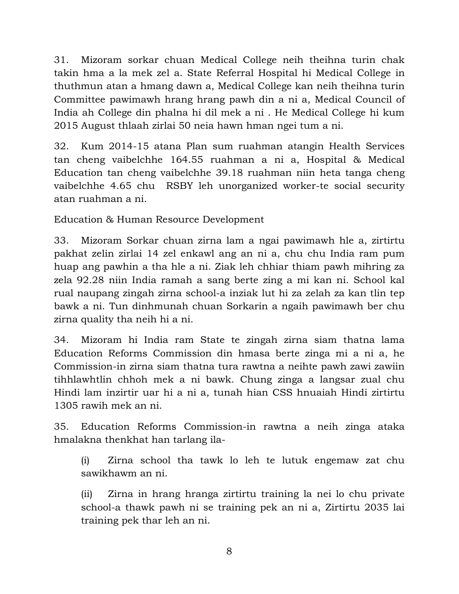31. Mizoram sorkar chuan Medical College neih theihna turin chak takin hma a la mek zel a. State Referral Hospital hi Medical College in thuthmun atan a hmang dawn a, Medical College kan neih theihna turin Committee pawimawh hrang hrang pawh din a ni a, Medical Council of India ah College din phalna hi dil mek a ni . He Medical College hi kum 2015 August thlaah zirlai 50 neia hawn hman ngei tum a ni.

32. Kum 2014-15 atana Plan sum ruahman atangin Health Services tan cheng vaibelchhe 164.55 ruahman a ni a, Hospital & Medical Education tan cheng vaibelchhe 39.18 ruahman niin heta tanga cheng vaibelchhe 4.65 chu RSBY leh unorganized worker-te social security atan ruahman a ni.

Education & Human Resource Development

33. Mizoram Sorkar chuan zirna lam a ngai pawimawh hle a, zirtirtu pakhat zelin zirlai 14 zel enkawl ang an ni a, chu chu India ram pum huap ang pawhin a tha hle a ni. Ziak leh chhiar thiam pawh mihring za zela 92.28 niin India ramah a sang berte zing a mi kan ni. School kal rual naupang zingah zirna school-a inziak lut hi za zelah za kan tlin tep bawk a ni. Tun dinhmunah chuan Sorkarin a ngaih pawimawh ber chu zirna quality tha neih hi a ni.

34. Mizoram hi India ram State te zingah zirna siam thatna lama Education Reforms Commission din hmasa berte zinga mi a ni a, he Commission-in zirna siam thatna tura rawtna a neihte pawh zawi zawiin tihhlawhtlin chhoh mek a ni bawk. Chung zinga a langsar zual chu Hindi lam inzirtir uar hi a ni a, tunah hian CSS hnuaiah Hindi zirtirtu 1305 rawih mek an ni.

35. Education Reforms Commission-in rawtna a neih zinga ataka hmalakna thenkhat han tarlang ila-

(i) Zirna school tha tawk lo leh te lutuk engemaw zat chu sawikhawm an ni.

(ii) Zirna in hrang hranga zirtirtu training la nei lo chu private school-a thawk pawh ni se training pek an ni a, Zirtirtu 2035 lai training pek thar leh an ni.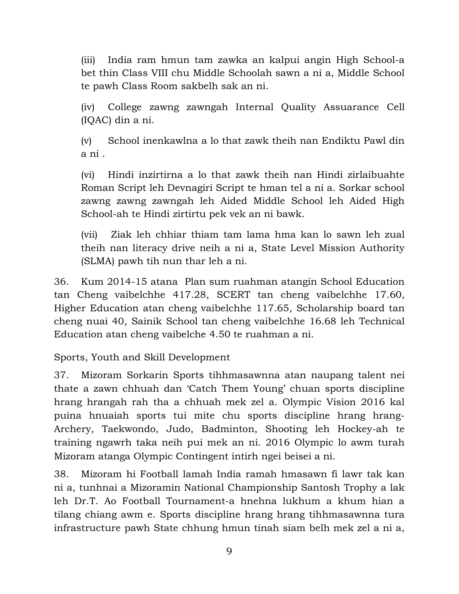(iii) India ram hmun tam zawka an kalpui angin High School-a bet thin Class VIII chu Middle Schoolah sawn a ni a, Middle School te pawh Class Room sakbelh sak an ni.

(iv) College zawng zawngah Internal Quality Assuarance Cell (IQAC) din a ni.

(v) School inenkawlna a lo that zawk theih nan Endiktu Pawl din a ni .

(vi) Hindi inzirtirna a lo that zawk theih nan Hindi zirlaibuahte Roman Script leh Devnagiri Script te hman tel a ni a. Sorkar school zawng zawng zawngah leh Aided Middle School leh Aided High School-ah te Hindi zirtirtu pek vek an ni bawk.

(vii) Ziak leh chhiar thiam tam lama hma kan lo sawn leh zual theih nan literacy drive neih a ni a, State Level Mission Authority (SLMA) pawh tih nun thar leh a ni.

36. Kum 2014-15 atana Plan sum ruahman atangin School Education tan Cheng vaibelchhe 417.28, SCERT tan cheng vaibelchhe 17.60, Higher Education atan cheng vaibelchhe 117.65, Scholarship board tan cheng nuai 40, Sainik School tan cheng vaibelchhe 16.68 leh Technical Education atan cheng vaibelche 4.50 te ruahman a ni.

Sports, Youth and Skill Development

37. Mizoram Sorkarin Sports tihhmasawnna atan naupang talent nei thate a zawn chhuah dan 'Catch Them Young' chuan sports discipline hrang hrangah rah tha a chhuah mek zel a. Olympic Vision 2016 kal puina hnuaiah sports tui mite chu sports discipline hrang hrang-Archery, Taekwondo, Judo, Badminton, Shooting leh Hockey-ah te training ngawrh taka neih pui mek an ni. 2016 Olympic lo awm turah Mizoram atanga Olympic Contingent intirh ngei beisei a ni.

38. Mizoram hi Football lamah India ramah hmasawn fi lawr tak kan ni a, tunhnai a Mizoramin National Championship Santosh Trophy a lak leh Dr.T. Ao Football Tournament-a hnehna lukhum a khum hian a tilang chiang awm e. Sports discipline hrang hrang tihhmasawnna tura infrastructure pawh State chhung hmun tinah siam belh mek zel a ni a,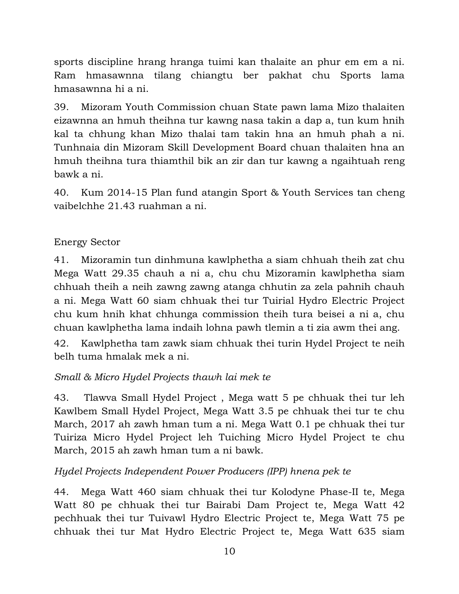sports discipline hrang hranga tuimi kan thalaite an phur em em a ni. Ram hmasawnna tilang chiangtu ber pakhat chu Sports lama hmasawnna hi a ni.

39. Mizoram Youth Commission chuan State pawn lama Mizo thalaiten eizawnna an hmuh theihna tur kawng nasa takin a dap a, tun kum hnih kal ta chhung khan Mizo thalai tam takin hna an hmuh phah a ni. Tunhnaia din Mizoram Skill Development Board chuan thalaiten hna an hmuh theihna tura thiamthil bik an zir dan tur kawng a ngaihtuah reng bawk a ni.

40. Kum 2014-15 Plan fund atangin Sport & Youth Services tan cheng vaibelchhe 21.43 ruahman a ni.

### Energy Sector

41. Mizoramin tun dinhmuna kawlphetha a siam chhuah theih zat chu Mega Watt 29.35 chauh a ni a, chu chu Mizoramin kawlphetha siam chhuah theih a neih zawng zawng atanga chhutin za zela pahnih chauh a ni. Mega Watt 60 siam chhuak thei tur Tuirial Hydro Electric Project chu kum hnih khat chhunga commission theih tura beisei a ni a, chu chuan kawlphetha lama indaih lohna pawh tlemin a ti zia awm thei ang.

42. Kawlphetha tam zawk siam chhuak thei turin Hydel Project te neih belh tuma hmalak mek a ni.

### *Small & Micro Hydel Projects thawh lai mek te*

43. Tlawva Small Hydel Project , Mega watt 5 pe chhuak thei tur leh Kawlbem Small Hydel Project, Mega Watt 3.5 pe chhuak thei tur te chu March, 2017 ah zawh hman tum a ni. Mega Watt 0.1 pe chhuak thei tur Tuiriza Micro Hydel Project leh Tuiching Micro Hydel Project te chu March, 2015 ah zawh hman tum a ni bawk.

### *Hydel Projects Independent Power Producers (IPP) hnena pek te*

44. Mega Watt 460 siam chhuak thei tur Kolodyne Phase-II te, Mega Watt 80 pe chhuak thei tur Bairabi Dam Project te, Mega Watt 42 pechhuak thei tur Tuivawl Hydro Electric Project te, Mega Watt 75 pe chhuak thei tur Mat Hydro Electric Project te, Mega Watt 635 siam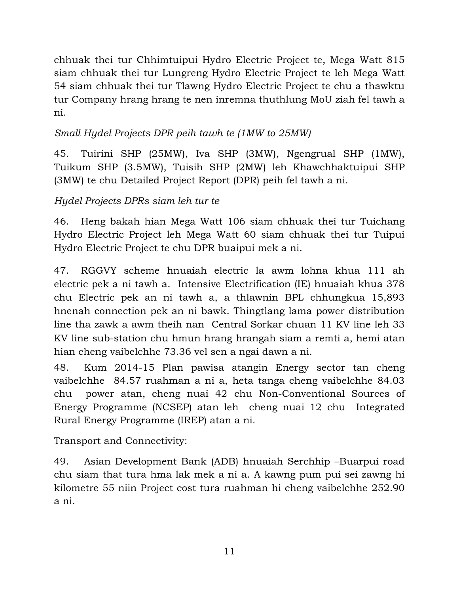chhuak thei tur Chhimtuipui Hydro Electric Project te, Mega Watt 815 siam chhuak thei tur Lungreng Hydro Electric Project te leh Mega Watt 54 siam chhuak thei tur Tlawng Hydro Electric Project te chu a thawktu tur Company hrang hrang te nen inremna thuthlung MoU ziah fel tawh a ni.

# *Small Hydel Projects DPR peih tawh te (1MW to 25MW)*

45. Tuirini SHP (25MW), Iva SHP (3MW), Ngengrual SHP (1MW), Tuikum SHP (3.5MW), Tuisih SHP (2MW) leh Khawchhaktuipui SHP (3MW) te chu Detailed Project Report (DPR) peih fel tawh a ni.

# *Hydel Projects DPRs siam leh tur te*

46. Heng bakah hian Mega Watt 106 siam chhuak thei tur Tuichang Hydro Electric Project leh Mega Watt 60 siam chhuak thei tur Tuipui Hydro Electric Project te chu DPR buaipui mek a ni.

47. RGGVY scheme hnuaiah electric la awm lohna khua 111 ah electric pek a ni tawh a. Intensive Electrification (IE) hnuaiah khua 378 chu Electric pek an ni tawh a, a thlawnin BPL chhungkua 15,893 hnenah connection pek an ni bawk. Thingtlang lama power distribution line tha zawk a awm theih nan Central Sorkar chuan 11 KV line leh 33 KV line sub-station chu hmun hrang hrangah siam a remti a, hemi atan hian cheng vaibelchhe 73.36 vel sen a ngai dawn a ni.

48. Kum 2014-15 Plan pawisa atangin Energy sector tan cheng vaibelchhe 84.57 ruahman a ni a, heta tanga cheng vaibelchhe 84.03 chu power atan, cheng nuai 42 chu Non-Conventional Sources of Energy Programme (NCSEP) atan leh cheng nuai 12 chu Integrated Rural Energy Programme (IREP) atan a ni.

Transport and Connectivity:

49. Asian Development Bank (ADB) hnuaiah Serchhip –Buarpui road chu siam that tura hma lak mek a ni a. A kawng pum pui sei zawng hi kilometre 55 niin Project cost tura ruahman hi cheng vaibelchhe 252.90 a ni.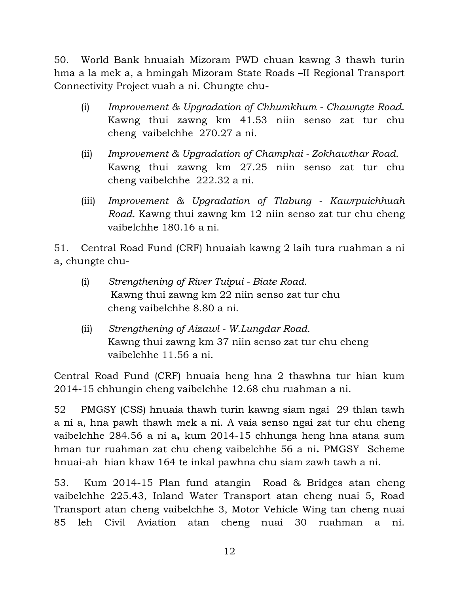50. World Bank hnuaiah Mizoram PWD chuan kawng 3 thawh turin hma a la mek a, a hmingah Mizoram State Roads –II Regional Transport Connectivity Project vuah a ni. Chungte chu-

- (i) *Improvement & Upgradation of Chhumkhum Chawngte Road*. Kawng thui zawng km 41.53 niin senso zat tur chu cheng vaibelchhe 270.27 a ni.
- (ii) *Improvement & Upgradation of Champhai Zokhawthar Road*. Kawng thui zawng km 27.25 niin senso zat tur chu cheng vaibelchhe 222.32 a ni.
- (iii) *Improvement & Upgradation of Tlabung Kawrpuichhuah Road.* Kawng thui zawng km 12 niin senso zat tur chu cheng vaibelchhe 180.16 a ni.

51. Central Road Fund (CRF) hnuaiah kawng 2 laih tura ruahman a ni a, chungte chu-

- (i) *Strengthening of River Tuipui Biate Road.* Kawng thui zawng km 22 niin senso zat tur chu cheng vaibelchhe 8.80 a ni.
- (ii) *Strengthening of Aizawl W.Lungdar Road.* Kawng thui zawng km 37 niin senso zat tur chu chengvaibelchhe 11.56 a ni.

Central Road Fund (CRF) hnuaia heng hna 2 thawhna tur hian kum 2014-15 chhungin cheng vaibelchhe 12.68 chu ruahman a ni.

52 PMGSY (CSS) hnuaia thawh turin kawng siam ngai 29 thlan tawh a ni a, hna pawh thawh mek a ni. A vaia senso ngai zat tur chu cheng vaibelchhe 284.56 a ni a**,** kum 2014-15 chhunga heng hna atana sum hman tur ruahman zat chu cheng vaibelchhe 56 a ni**.** PMGSY Scheme hnuai-ah hian khaw 164 te inkal pawhna chu siam zawh tawh a ni.

53. Kum 2014-15 Plan fund atangin Road & Bridges atan cheng vaibelchhe 225.43, Inland Water Transport atan cheng nuai 5, Road Transport atan cheng vaibelchhe 3, Motor Vehicle Wing tan cheng nuai 85 leh Civil Aviation atan cheng nuai 30 ruahman a ni.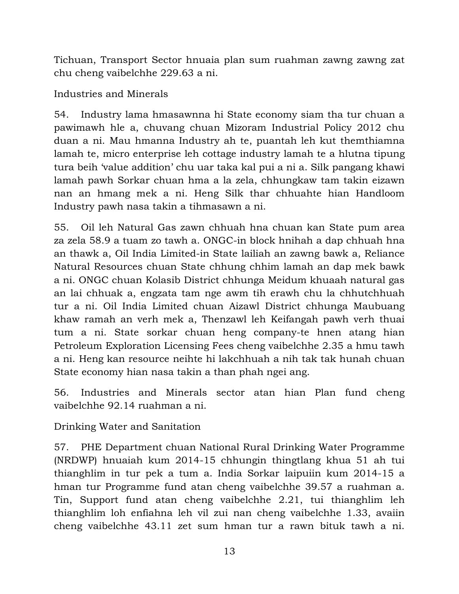Tichuan, Transport Sector hnuaia plan sum ruahman zawng zawng zat chu cheng vaibelchhe 229.63 a ni.

Industries and Minerals

54. Industry lama hmasawnna hi State economy siam tha tur chuan a pawimawh hle a, chuvang chuan Mizoram Industrial Policy 2012 chu duan a ni. Mau hmanna Industry ah te, puantah leh kut themthiamna lamah te, micro enterprise leh cottage industry lamah te a hlutna tipung tura beih 'value addition' chu uar taka kal pui a ni a. Silk pangang khawi lamah pawh Sorkar chuan hma a la zela, chhungkaw tam takin eizawn nan an hmang mek a ni. Heng Silk thar chhuahte hian Handloom Industry pawh nasa takin a tihmasawn a ni.

55. Oil leh Natural Gas zawn chhuah hna chuan kan State pum area za zela 58.9 a tuam zo tawh a. ONGC-in block hnihah a dap chhuah hna an thawk a, Oil India Limited-in State lailiah an zawng bawk a, Reliance Natural Resources chuan State chhung chhim lamah an dap mek bawk a ni. ONGC chuan Kolasib District chhunga Meidum khuaah natural gas an lai chhuak a, engzata tam nge awm tih erawh chu la chhutchhuah tur a ni. Oil India Limited chuan Aizawl District chhunga Maubuang khaw ramah an verh mek a, Thenzawl leh Keifangah pawh verh thuai tum a ni. State sorkar chuan heng company-te hnen atang hian Petroleum Exploration Licensing Fees cheng vaibelchhe 2.35 a hmu tawh a ni. Heng kan resource neihte hi lakchhuah a nih tak tak hunah chuan State economy hian nasa takin a than phah ngei ang.

56. Industries and Minerals sector atan hian Plan fund cheng vaibelchhe 92.14 ruahman a ni.

Drinking Water and Sanitation

57. PHE Department chuan National Rural Drinking Water Programme (NRDWP) hnuaiah kum 2014-15 chhungin thingtlang khua 51 ah tui thianghlim in tur pek a tum a. India Sorkar laipuiin kum 2014-15 a hman tur Programme fund atan cheng vaibelchhe 39.57 a ruahman a. Tin, Support fund atan cheng vaibelchhe 2.21, tui thianghlim leh thianghlim loh enfiahna leh vil zui nan cheng vaibelchhe 1.33, avaiin cheng vaibelchhe 43.11 zet sum hman tur a rawn bituk tawh a ni.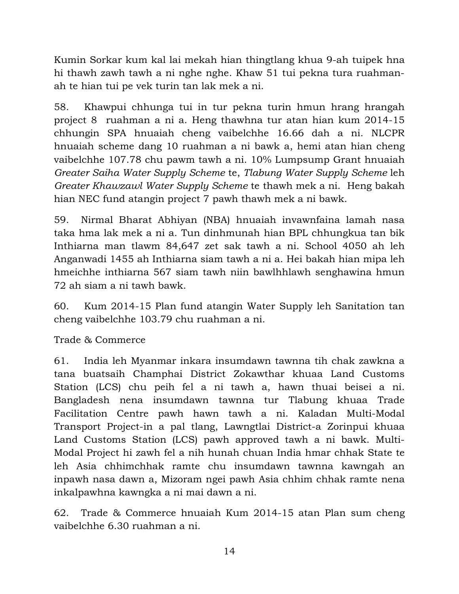Kumin Sorkar kum kal lai mekah hian thingtlang khua 9-ah tuipek hna hi thawh zawh tawh a ni nghe nghe. Khaw 51 tui pekna tura ruahmanah te hian tui pe vek turin tan lak mek a ni.

58. Khawpui chhunga tui in tur pekna turin hmun hrang hrangah project 8 ruahman a ni a. Heng thawhna tur atan hian kum 2014-15 chhungin SPA hnuaiah cheng vaibelchhe 16.66 dah a ni. NLCPR hnuaiah scheme dang 10 ruahman a ni bawk a, hemi atan hian cheng vaibelchhe 107.78 chu pawm tawh a ni. 10% Lumpsump Grant hnuaiah *Greater Saiha Water Supply Scheme* te, *Tlabung Water Supply Scheme* leh *Greater Khawzawl Water Supply Scheme* te thawh mek a ni. Heng bakah hian NEC fund atangin project 7 pawh thawh mek a ni bawk.

59. Nirmal Bharat Abhiyan (NBA) hnuaiah invawnfaina lamah nasa taka hma lak mek a ni a. Tun dinhmunah hian BPL chhungkua tan bik Inthiarna man tlawm 84,647 zet sak tawh a ni. School 4050 ah leh Anganwadi 1455 ah Inthiarna siam tawh a ni a. Hei bakah hian mipa leh hmeichhe inthiarna 567 siam tawh niin bawlhhlawh senghawina hmun 72 ah siam a ni tawh bawk.

60. Kum 2014-15 Plan fund atangin Water Supply leh Sanitation tan cheng vaibelchhe 103.79 chu ruahman a ni.

Trade & Commerce

61. India leh Myanmar inkara insumdawn tawnna tih chak zawkna a tana buatsaih Champhai District Zokawthar khuaa Land Customs Station (LCS) chu peih fel a ni tawh a, hawn thuai beisei a ni. Bangladesh nena insumdawn tawnna tur Tlabung khuaa Trade Facilitation Centre pawh hawn tawh a ni. Kaladan Multi-Modal Transport Project-in a pal tlang, Lawngtlai District-a Zorinpui khuaa Land Customs Station (LCS) pawh approved tawh a ni bawk. Multi-Modal Project hi zawh fel a nih hunah chuan India hmar chhak State te leh Asia chhimchhak ramte chu insumdawn tawnna kawngah an inpawh nasa dawn a, Mizoram ngei pawh Asia chhim chhak ramte nena inkalpawhna kawngka a ni mai dawn a ni.

62. Trade & Commerce hnuaiah Kum 2014-15 atan Plan sum cheng vaibelchhe 6.30 ruahman a ni.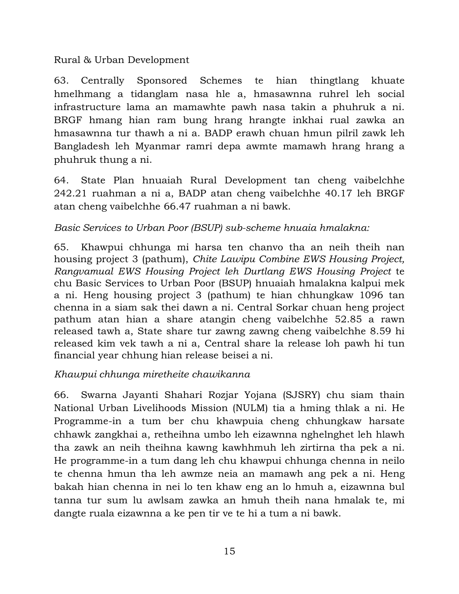#### Rural & Urban Development

63. Centrally Sponsored Schemes te hian thingtlang khuate hmelhmang a tidanglam nasa hle a, hmasawnna ruhrel leh social infrastructure lama an mamawhte pawh nasa takin a phuhruk a ni. BRGF hmang hian ram bung hrang hrangte inkhai rual zawka an hmasawnna tur thawh a ni a. BADP erawh chuan hmun pilril zawk leh Bangladesh leh Myanmar ramri depa awmte mamawh hrang hrang a phuhruk thung a ni.

64. State Plan hnuaiah Rural Development tan cheng vaibelchhe 242.21 ruahman a ni a, BADP atan cheng vaibelchhe 40.17 leh BRGF atan cheng vaibelchhe 66.47 ruahman a ni bawk.

## *Basic Services to Urban Poor (BSUP) sub-scheme hnuaia hmalakna:*

65. Khawpui chhunga mi harsa ten chanvo tha an neih theih nan housing project 3 (pathum), *Chite Lawipu Combine EWS Housing Project, Rangvamual EWS Housing Project leh Durtlang EWS Housing Project* te chu Basic Services to Urban Poor (BSUP) hnuaiah hmalakna kalpui mek a ni. Heng housing project 3 (pathum) te hian chhungkaw 1096 tan chenna in a siam sak thei dawn a ni. Central Sorkar chuan heng project pathum atan hian a share atangin cheng vaibelchhe 52.85 a rawn released tawh a, State share tur zawng zawng cheng vaibelchhe 8.59 hi released kim vek tawh a ni a, Central share la release loh pawh hi tun financial year chhung hian release beisei a ni.

### *Khawpui chhunga miretheite chawikanna*

66. Swarna Jayanti Shahari Rozjar Yojana (SJSRY) chu siam thain National Urban Livelihoods Mission (NULM) tia a hming thlak a ni. He Programme-in a tum ber chu khawpuia cheng chhungkaw harsate chhawk zangkhai a, retheihna umbo leh eizawnna nghelnghet leh hlawh tha zawk an neih theihna kawng kawhhmuh leh zirtirna tha pek a ni. He programme-in a tum dang leh chu khawpui chhunga chenna in neilo te chenna hmun tha leh awmze neia an mamawh ang pek a ni. Heng bakah hian chenna in nei lo ten khaw eng an lo hmuh a, eizawnna bul tanna tur sum lu awlsam zawka an hmuh theih nana hmalak te, mi dangte ruala eizawnna a ke pen tir ve te hi a tum a ni bawk.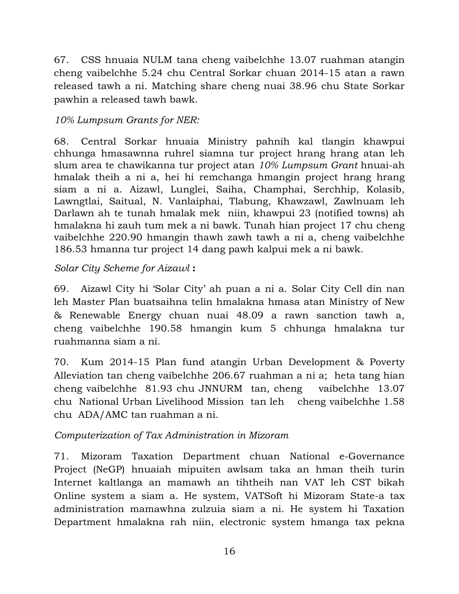67. CSS hnuaia NULM tana cheng vaibelchhe 13.07 ruahman atangin cheng vaibelchhe 5.24 chu Central Sorkar chuan 2014-15 atan a rawn released tawh a ni. Matching share cheng nuai 38.96 chu State Sorkar pawhin a released tawh bawk.

# *10% Lumpsum Grants for NER:*

68. Central Sorkar hnuaia Ministry pahnih kal tlangin khawpui chhunga hmasawnna ruhrel siamna tur project hrang hrang atan leh slum area te chawikanna tur project atan *10% Lumpsum Grant* hnuai-ah hmalak theih a ni a, hei hi remchanga hmangin project hrang hrang siam a ni a. Aizawl, Lunglei, Saiha, Champhai, Serchhip, Kolasib, Lawngtlai, Saitual, N. Vanlaiphai, Tlabung, Khawzawl, Zawlnuam leh Darlawn ah te tunah hmalak mek niin, khawpui 23 (notified towns) ah hmalakna hi zauh tum mek a ni bawk. Tunah hian project 17 chu cheng vaibelchhe 220.90 hmangin thawh zawh tawh a ni a, cheng vaibelchhe 186.53 hmanna tur project 14 dang pawh kalpui mek a ni bawk.

# *Solar City Scheme for Aizawl* **:**

69. Aizawl City hi 'Solar City' ah puan a ni a. Solar City Cell din nan leh Master Plan buatsaihna telin hmalakna hmasa atan Ministry of New & Renewable Energy chuan nuai 48.09 a rawn sanction tawh a, cheng vaibelchhe 190.58 hmangin kum 5 chhunga hmalakna tur ruahmanna siam a ni.

70. Kum 2014-15 Plan fund atangin Urban Development & Poverty Alleviation tan cheng vaibelchhe 206.67 ruahman a ni a; heta tang hian cheng vaibelchhe 81.93 chu JNNURM tan, cheng vaibelchhe 13.07 chu National Urban Livelihood Mission tan leh cheng vaibelchhe 1.58 chu ADA/AMC tan ruahman a ni.

# *Computerization of Tax Administration in Mizoram*

71. Mizoram Taxation Department chuan National e-Governance Project (NeGP) hnuaiah mipuiten awlsam taka an hman theih turin Internet kaltlanga an mamawh an tihtheih nan VAT leh CST bikah Online system a siam a. He system, VATSoft hi Mizoram State-a tax administration mamawhna zulzuia siam a ni. He system hi Taxation Department hmalakna rah niin, electronic system hmanga tax pekna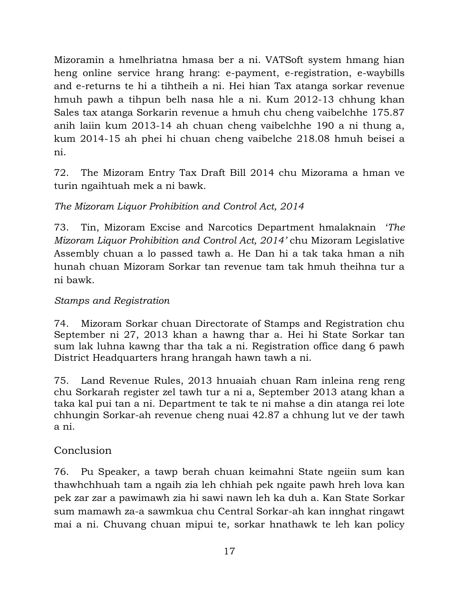Mizoramin a hmelhriatna hmasa ber a ni. VATSoft system hmang hian heng online service hrang hrang: e-payment, e-registration, e-waybills and e-returns te hi a tihtheih a ni. Hei hian Tax atanga sorkar revenue hmuh pawh a tihpun belh nasa hle a ni. Kum 2012-13 chhung khan Sales tax atanga Sorkarin revenue a hmuh chu cheng vaibelchhe 175.87 anih laiin kum 2013-14 ah chuan cheng vaibelchhe 190 a ni thung a, kum 2014-15 ah phei hi chuan cheng vaibelche 218.08 hmuh beisei a ni.

72. The Mizoram Entry Tax Draft Bill 2014 chu Mizorama a hman ve turin ngaihtuah mek a ni bawk.

# *The Mizoram Liquor Prohibition and Control Act, 2014*

73. Tin, Mizoram Excise and Narcotics Department hmalaknain '*The Mizoram Liquor Prohibition and Control Act, 2014'* chu Mizoram Legislative Assembly chuan a lo passed tawh a. He Dan hi a tak taka hman a nih hunah chuan Mizoram Sorkar tan revenue tam tak hmuh theihna tur a ni bawk.

# *Stamps and Registration*

74. Mizoram Sorkar chuan Directorate of Stamps and Registration chu September ni 27, 2013 khan a hawng thar a. Hei hi State Sorkar tan sum lak luhna kawng thar tha tak a ni. Registration office dang 6 pawh District Headquarters hrang hrangah hawn tawh a ni.

75. Land Revenue Rules, 2013 hnuaiah chuan Ram inleina reng reng chu Sorkarah register zel tawh tur a ni a, September 2013 atang khan a taka kal pui tan a ni. Department te tak te ni mahse a din atanga rei lote chhungin Sorkar-ah revenue cheng nuai 42.87 a chhung lut ve der tawh a ni.

# Conclusion

76. Pu Speaker, a tawp berah chuan keimahni State ngeiin sum kan thawhchhuah tam a ngaih zia leh chhiah pek ngaite pawh hreh lova kan pek zar zar a pawimawh zia hi sawi nawn leh ka duh a. Kan State Sorkar sum mamawh za-a sawmkua chu Central Sorkar-ah kan innghat ringawt mai a ni. Chuvang chuan mipui te, sorkar hnathawk te leh kan policy